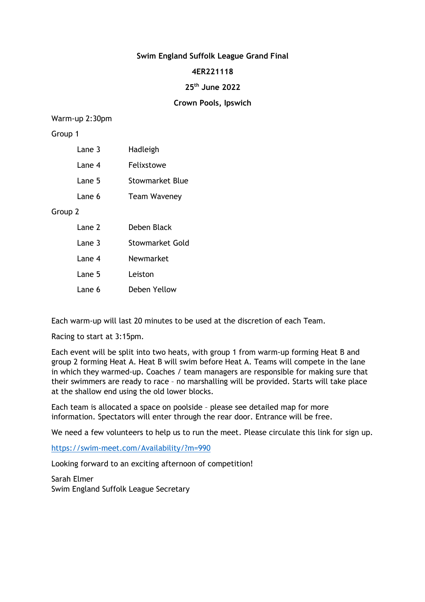# **Swim England Suffolk League Grand Final**

## **4ER221118**

# **25th June 2022**

# **Crown Pools, Ipswich**

## Warm-up 2:30pm

## Group 1

| Lane 3 | Hadleigh            |
|--------|---------------------|
| Lane 4 | Felixstowe          |
| Lane 5 | Stowmarket Blue     |
| Lane 6 | <b>Team Waveney</b> |
|        |                     |

Group 2

| Lane 2 | Deben Black     |
|--------|-----------------|
| Lane 3 | Stowmarket Gold |
| Lane 4 | Newmarket       |
| Lane 5 | Leiston         |
| Lane 6 | Deben Yellow    |

Each warm-up will last 20 minutes to be used at the discretion of each Team.

Racing to start at 3:15pm.

Each event will be split into two heats, with group 1 from warm-up forming Heat B and group 2 forming Heat A. Heat B will swim before Heat A. Teams will compete in the lane in which they warmed-up. Coaches / team managers are responsible for making sure that their swimmers are ready to race – no marshalling will be provided. Starts will take place at the shallow end using the old lower blocks.

Each team is allocated a space on poolside – please see detailed map for more information. Spectators will enter through the rear door. Entrance will be free.

We need a few volunteers to help us to run the meet. Please circulate this link for sign up.

https://swim-meet.com/Availability/?m=990

Looking forward to an exciting afternoon of competition!

Sarah Elmer Swim England Suffolk League Secretary